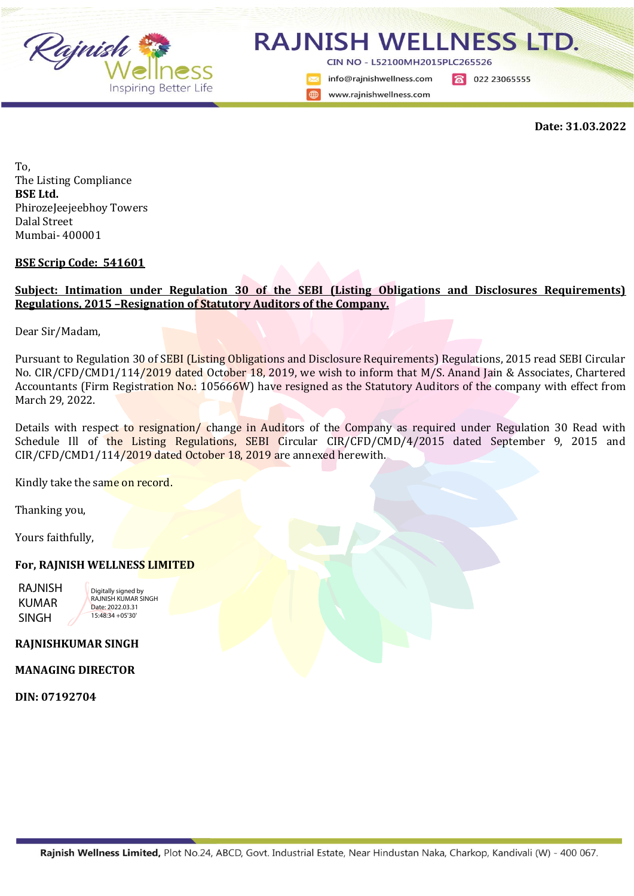

## **RAJNISH WELLNESS LTD.**

CIN NO - L52100MH2015PLC265526

info@rainishwellness.com www.rajnishwellness.com

8 022 23065555

**Date: 31.03.2022**

To, The Listing Compliance **BSE Ltd.** PhirozeJeejeebhoy Towers Dalal Street Mumbai- 400001

**BSE Scrip Code: 541601**

## **Subject: Intimation under Regulation 30 of the SEBI (Listing Obligations and Disclosures Requirements) Regulations, 2015 –Resignation of Statutory Auditors of the Company.**

Dear Sir/Madam,

Pursuant to Regulation 30 of SEBI (Listing Obligations and Disclosure Requirements) Regulations, 2015 read SEBI Circular No. CIR/CFD/CMD1/114/2019 dated October 18, 2019, we wish to inform that M/S. Anand Jain & Associates, Chartered Accountants (Firm Registration No.: 105666W) have resigned as the Statutory Auditors of the company with effect from March 29, 2022.

Details with respect to resignation/ change in Auditors of the Company as required under Regulation 30 Read with Schedule Ill of the Listing Regulations, SEBI Circular CIR/CFD/CMD/4/2015 dated September 9, 2015 and CIR/CFD/CMD1/114/2019 dated October 18, 2019 are annexed herewith.

Kindly take the same on record.

Thanking you,

Yours faithfully,

## **For, RAJNISH WELLNESS LIMITED**

RAJNISH KUMAR SINGH

Digitally signed by RAJNISH KUMAR SINGH Date: 2022.03.31 15:48:34 +05'30'

**RAJNISHKUMAR SINGH**

**MANAGING DIRECTOR**

**DIN: 07192704**